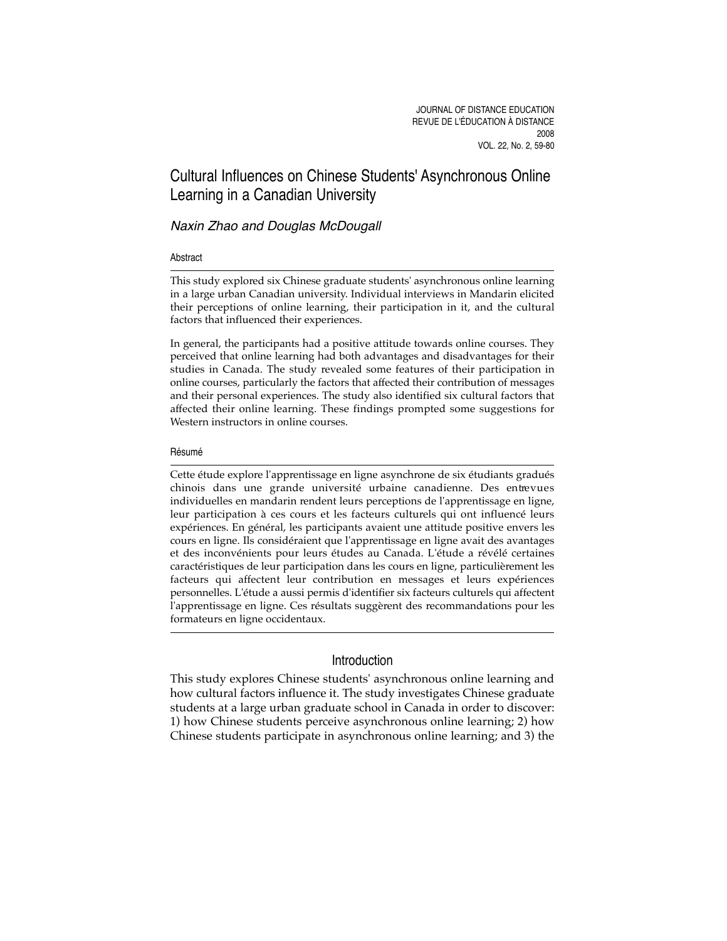# Cultural Influences on Chinese Students' Asynchronous Online Learning in a Canadian University

# Naxin Zhao and Douglas McDougall

# Abstract

This study explored six Chinese graduate students' asynchronous online learning in a large urban Canadian university. Individual interviews in Mandarin elicited their perceptions of online learning, their participation in it, and the cultural factors that influenced their experiences.

In general, the participants had a positive attitude towards online courses. They perceived that online learning had both advantages and disadvantages for their studies in Canada. The study revealed some features of their participation in online courses, particularly the factors that affected their contribution of messages and their personal experiences. The study also identified six cultural factors that affected their online learning. These findings prompted some suggestions for Western instructors in online courses.

# Résumé

Cette étude explore l'apprentissage en ligne asynchrone de six étudiants gradués chinois dans une grande université urbaine canadienne. Des entrevues individuelles en mandarin rendent leurs perceptions de l'apprentissage en ligne, leur participation à ces cours et les facteurs culturels qui ont influencé leurs expériences. En général, les participants avaient une attitude positive envers les cours en ligne. Ils considéraient que l'apprentissage en ligne avait des avantages et des inconvénients pour leurs études au Canada. L'étude a révélé certaines caractéristiques de leur participation dans les cours en ligne, particulièrement les facteurs qui affectent leur contribution en messages et leurs expériences personnelles. L'étude a aussi permis d'identifier six facteurs culturels qui affectent l'apprentissage en ligne. Ces résultats suggèrent des recommandations pour les formateurs en ligne occidentaux.

# Introduction

This study explores Chinese students' asynchronous online learning and how cultural factors influence it. The study investigates Chinese graduate students at a large urban graduate school in Canada in order to discover: 1) how Chinese students perceive asynchronous online learning; 2) how Chinese students participate in asynchronous online learning; and 3) the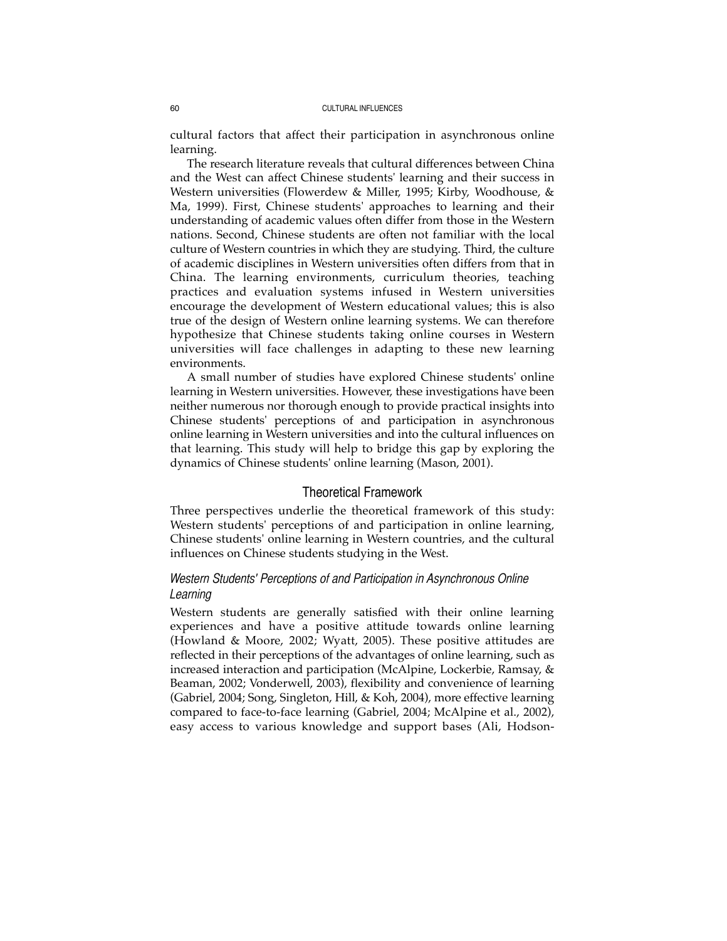cultural factors that affect their participation in asynchronous online learning.

The research literature reveals that cultural differences between China and the West can affect Chinese students' learning and their success in Western universities (Flowerdew & Miller, 1995; Kirby, Woodhouse, & Ma, 1999). First, Chinese students' approaches to learning and their understanding of academic values often differ from those in the Western nations. Second, Chinese students are often not familiar with the local culture of Western countries in which they are studying. Third, the culture of academic disciplines in Western universities often differs from that in China. The learning environments, curriculum theories, teaching practices and evaluation systems infused in Western universities encourage the development of Western educational values; this is also true of the design of Western online learning systems. We can therefore hypothesize that Chinese students taking online courses in Western universities will face challenges in adapting to these new learning environments.

A small number of studies have explored Chinese students' online learning in Western universities. However, these investigations have been neither numerous nor thorough enough to provide practical insights into Chinese students' perceptions of and participation in asynchronous online learning in Western universities and into the cultural influences on that learning. This study will help to bridge this gap by exploring the dynamics of Chinese students' online learning (Mason, 2001).

# Theoretical Framework

Three perspectives underlie the theoretical framework of this study: Western students' perceptions of and participation in online learning, Chinese students' online learning in Western countries, and the cultural influences on Chinese students studying in the West.

# *Western Students' Perceptions of and Participation in Asynchronous Online Learning*

Western students are generally satisfied with their online learning experiences and have a positive attitude towards online learning (Howland & Moore, 2002; Wyatt, 2005). These positive attitudes are reflected in their perceptions of the advantages of online learning, such as increased interaction and participation (McAlpine, Lockerbie, Ramsay, & Beaman, 2002; Vonderwell, 2003), flexibility and convenience of learning (Gabriel, 2004; Song, Singleton, Hill, & Koh, 2004), more effective learning compared to face-to-face learning (Gabriel, 2004; McAlpine et al., 2002), easy access to various knowledge and support bases (Ali, Hodson-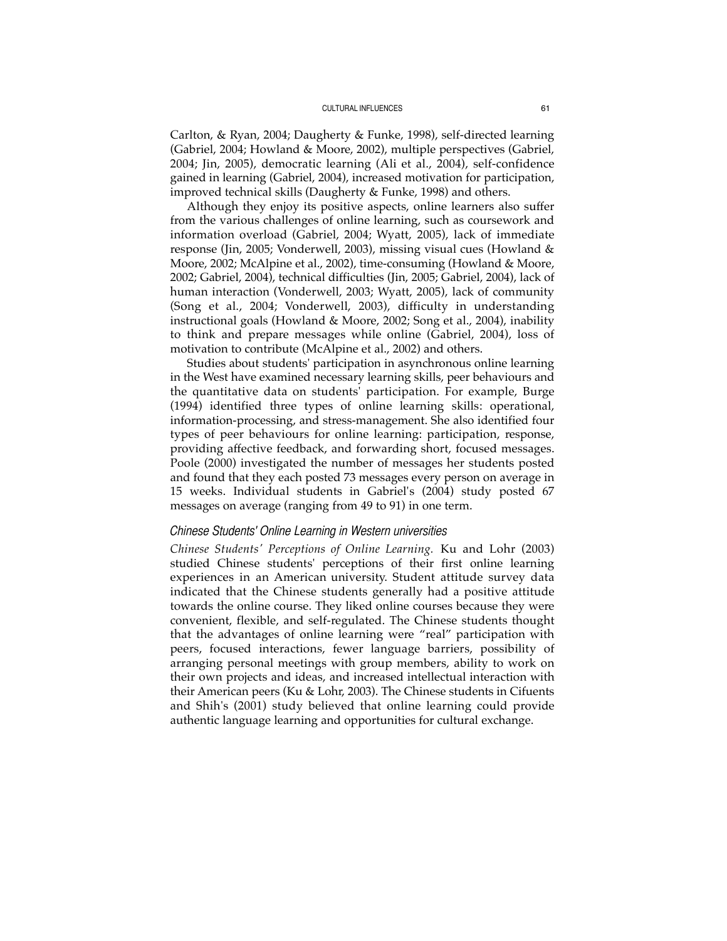Carlton, & Ryan, 2004; Daugherty & Funke, 1998), self-directed learning (Gabriel, 2004; Howland & Moore, 2002), multiple perspectives (Gabriel, 2004; Jin, 2005), democratic learning (Ali et al., 2004), self-confidence gained in learning (Gabriel, 2004), increased motivation for participation, improved technical skills (Daugherty & Funke, 1998) and others.

Although they enjoy its positive aspects, online learners also suffer from the various challenges of online learning, such as coursework and information overload (Gabriel, 2004; Wyatt, 2005), lack of immediate response (Jin, 2005; Vonderwell, 2003), missing visual cues (Howland & Moore, 2002; McAlpine et al., 2002), time-consuming (Howland & Moore, 2002; Gabriel, 2004), technical difficulties (Jin, 2005; Gabriel, 2004), lack of human interaction (Vonderwell, 2003; Wyatt, 2005), lack of community (Song et al., 2004; Vonderwell, 2003), difficulty in understanding instructional goals (Howland & Moore, 2002; Song et al., 2004), inability to think and prepare messages while online (Gabriel, 2004), loss of motivation to contribute (McAlpine et al., 2002) and others.

Studies about students' participation in asynchronous online learning in the West have examined necessary learning skills, peer behaviours and the quantitative data on students' participation. For example, Burge (1994) identified three types of online learning skills: operational, information-processing, and stress-management. She also identified four types of peer behaviours for online learning: participation, response, providing affective feedback, and forwarding short, focused messages. Poole (2000) investigated the number of messages her students posted and found that they each posted 73 messages every person on average in 15 weeks. Individual students in Gabriel's (2004) study posted 67 messages on average (ranging from 49 to 91) in one term.

# *Chinese Students' Online Learning in Western universities*

*Chinese Students' Perceptions of Online Learning.* Ku and Lohr (2003) studied Chinese students' perceptions of their first online learning experiences in an American university. Student attitude survey data indicated that the Chinese students generally had a positive attitude towards the online course. They liked online courses because they were convenient, flexible, and self-regulated. The Chinese students thought that the advantages of online learning were "real" participation with peers, focused interactions, fewer language barriers, possibility of arranging personal meetings with group members, ability to work on their own projects and ideas, and increased intellectual interaction with their American peers (Ku & Lohr, 2003). The Chinese students in Cifuents and Shih's (2001) study believed that online learning could provide authentic language learning and opportunities for cultural exchange.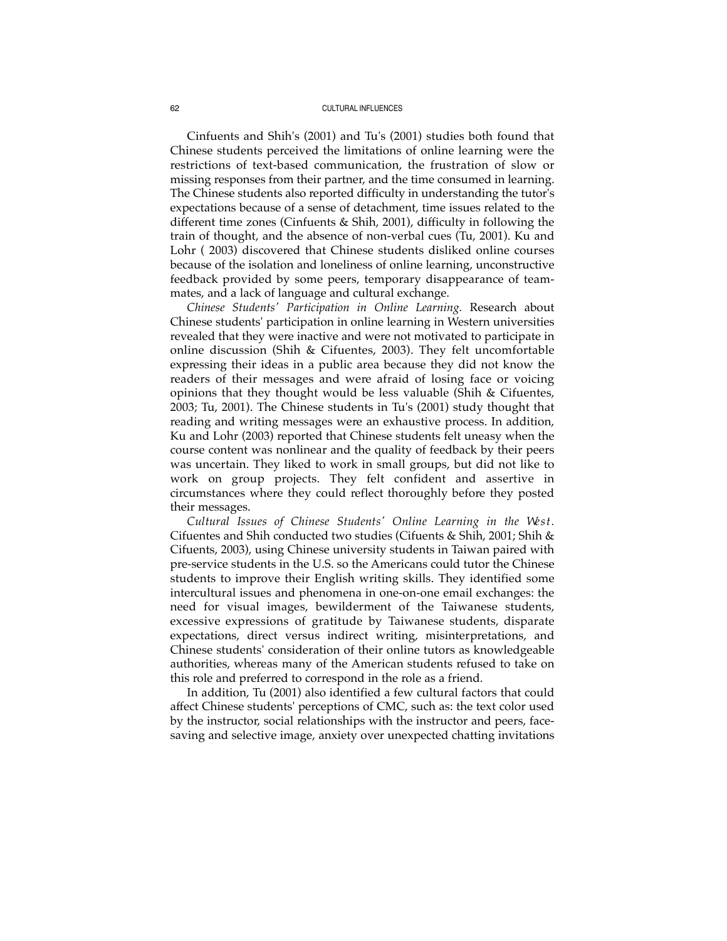Cinfuents and Shih's (2001) and Tu's (2001) studies both found that Chinese students perceived the limitations of online learning were the restrictions of text-based communication, the frustration of slow or missing responses from their partner, and the time consumed in learning. The Chinese students also reported difficulty in understanding the tutor's expectations because of a sense of detachment, time issues related to the different time zones (Cinfuents & Shih, 2001), difficulty in following the train of thought, and the absence of non-verbal cues (Tu, 2001). Ku and Lohr ( 2003) discovered that Chinese students disliked online courses because of the isolation and loneliness of online learning, unconstructive feedback provided by some peers, temporary disappearance of teammates, and a lack of language and cultural exchange.

*Chinese Students' Participation in Online Learning. Research about* Chinese students' participation in online learning in Western universities revealed that they were inactive and were not motivated to participate in online discussion (Shih & Cifuentes, 2003). They felt uncomfortable expressing their ideas in a public area because they did not know the readers of their messages and were afraid of losing face or voicing opinions that they thought would be less valuable (Shih & Cifuentes, 2003; Tu, 2001). The Chinese students in Tu's (2001) study thought that reading and writing messages were an exhaustive process. In addition, Ku and Lohr (2003) reported that Chinese students felt uneasy when the course content was nonlinear and the quality of feedback by their peers was uncertain. They liked to work in small groups, but did not like to work on group projects. They felt confident and assertive in circumstances where they could reflect thoroughly before they posted their messages.

*Cultural Issues of Chinese Students' Online Learning in the West.* Cifuentes and Shih conducted two studies (Cifuents & Shih, 2001; Shih & Cifuents, 2003), using Chinese university students in Taiwan paired with pre-service students in the U.S. so the Americans could tutor the Chinese students to improve their English writing skills. They identified some intercultural issues and phenomena in one-on-one email exchanges: the need for visual images, bewilderment of the Taiwanese students, excessive expressions of gratitude by Taiwanese students, disparate expectations, direct versus indirect writing, misinterpretations, and Chinese students' consideration of their online tutors as knowledgeable authorities, whereas many of the American students refused to take on this role and preferred to correspond in the role as a friend.

In addition, Tu (2001) also identified a few cultural factors that could affect Chinese students' perceptions of CMC, such as: the text color used by the instructor, social relationships with the instructor and peers, facesaving and selective image, anxiety over unexpected chatting invitations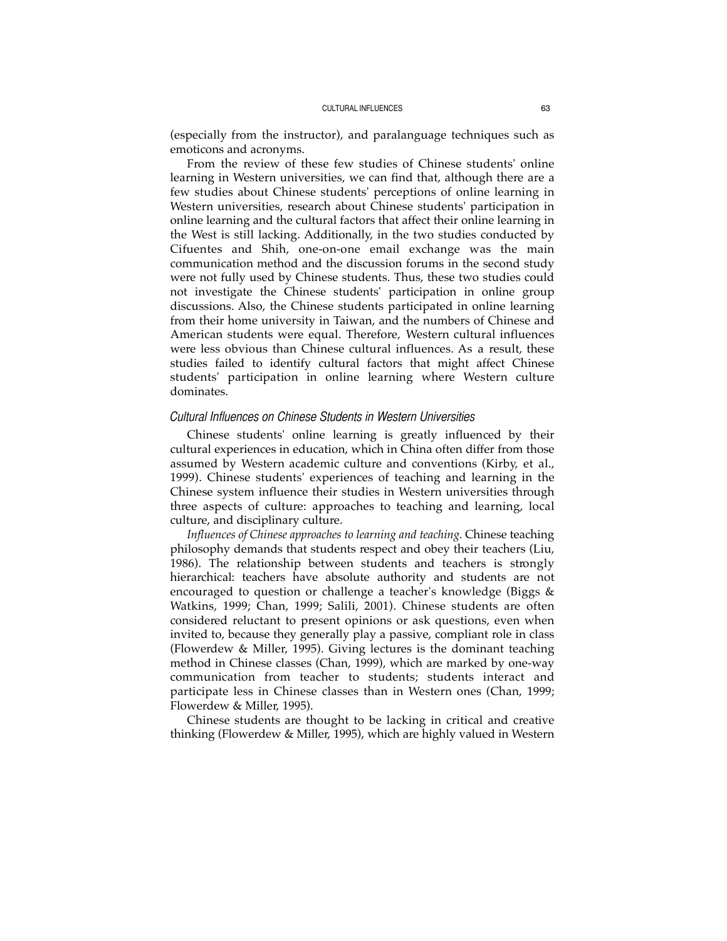(especially from the instructor), and paralanguage techniques such as emoticons and acronyms.

From the review of these few studies of Chinese students' online learning in Western universities, we can find that, although there are a few studies about Chinese students' perceptions of online learning in Western universities, research about Chinese students' participation in online learning and the cultural factors that affect their online learning in the West is still lacking. Additionally, in the two studies conducted by Cifuentes and Shih, one-on-one email exchange was the main communication method and the discussion forums in the second study were not fully used by Chinese students. Thus, these two studies could not investigate the Chinese students' participation in online group discussions. Also, the Chinese students participated in online learning from their home university in Taiwan, and the numbers of Chinese and American students were equal. Therefore, Western cultural influences were less obvious than Chinese cultural influences. As a result, these studies failed to identify cultural factors that might affect Chinese students' participation in online learning where Western culture dominates.

## *Cultural Influences on Chinese Students in Western Universities*

Chinese students' online learning is greatly influenced by their cultural experiences in education, which in China often differ from those assumed by Western academic culture and conventions (Kirby, et al., 1999). Chinese students' experiences of teaching and learning in the Chinese system influence their studies in Western universities through three aspects of culture: approaches to teaching and learning, local culture, and disciplinary culture.

*Influences of Chinese approaches to learning and teaching.* Chinese teaching philosophy demands that students respect and obey their teachers (Liu, 1986). The relationship between students and teachers is strongly hierarchical: teachers have absolute authority and students are not encouraged to question or challenge a teacher's knowledge (Biggs & Watkins, 1999; Chan, 1999; Salili, 2001). Chinese students are often considered reluctant to present opinions or ask questions, even when invited to, because they generally play a passive, compliant role in class (Flowerdew & Miller, 1995). Giving lectures is the dominant teaching method in Chinese classes (Chan, 1999), which are marked by one-way communication from teacher to students; students interact and participate less in Chinese classes than in Western ones (Chan, 1999; Flowerdew & Miller, 1995).

Chinese students are thought to be lacking in critical and creative thinking (Flowerdew & Miller, 1995), which are highly valued in Western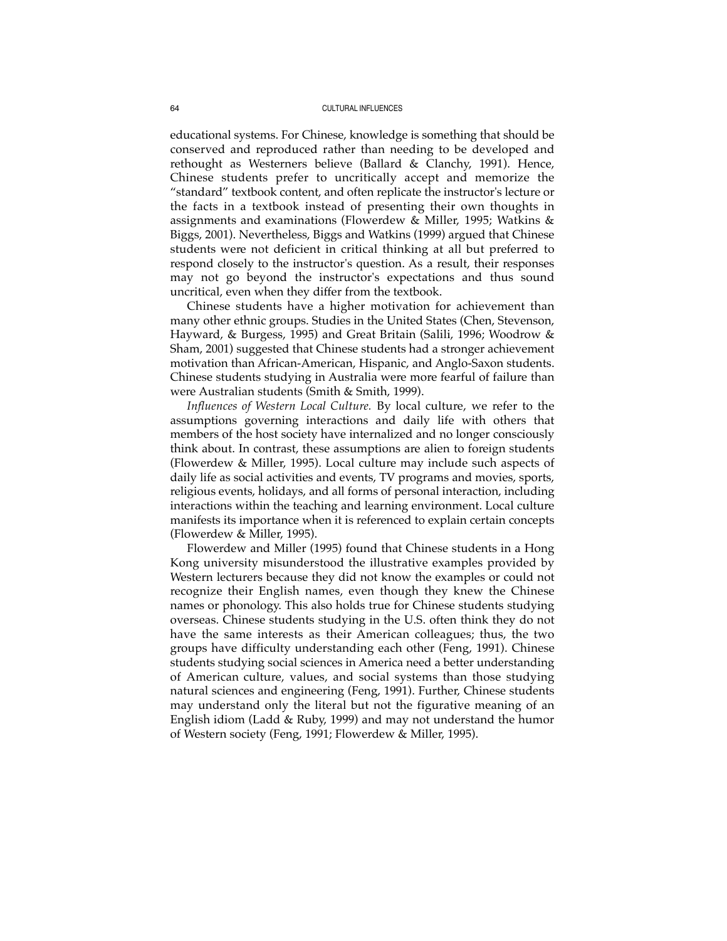educational systems. For Chinese, knowledge is something that should be conserved and reproduced rather than needing to be developed and rethought as Westerners believe (Ballard & Clanchy, 1991). Hence, Chinese students prefer to uncritically accept and memorize the "standard" textbook content, and often replicate the instructor's lecture or the facts in a textbook instead of presenting their own thoughts in assignments and examinations (Flowerdew & Miller, 1995; Watkins & Biggs, 2001). Nevertheless, Biggs and Watkins (1999) argued that Chinese students were not deficient in critical thinking at all but preferred to respond closely to the instructor's question. As a result, their responses may not go beyond the instructor's expectations and thus sound uncritical, even when they differ from the textbook.

Chinese students have a higher motivation for achievement than many other ethnic groups. Studies in the United States (Chen, Stevenson, Hayward, & Burgess, 1995) and Great Britain (Salili, 1996; Woodrow & Sham, 2001) suggested that Chinese students had a stronger achievement motivation than African-American, Hispanic, and Anglo-Saxon students. Chinese students studying in Australia were more fearful of failure than were Australian students (Smith & Smith, 1999).

*Influences of Western Local Culture.* By local culture, we refer to the assumptions governing interactions and daily life with others that members of the host society have internalized and no longer consciously think about. In contrast, these assumptions are alien to foreign students (Flowerdew & Miller, 1995). Local culture may include such aspects of daily life as social activities and events, TV programs and movies, sports, religious events, holidays, and all forms of personal interaction, including interactions within the teaching and learning environment. Local culture manifests its importance when it is referenced to explain certain concepts (Flowerdew & Miller, 1995).

Flowerdew and Miller (1995) found that Chinese students in a Hong Kong university misunderstood the illustrative examples provided by Western lecturers because they did not know the examples or could not recognize their English names, even though they knew the Chinese names or phonology. This also holds true for Chinese students studying overseas. Chinese students studying in the U.S. often think they do not have the same interests as their American colleagues; thus, the two groups have difficulty understanding each other (Feng, 1991). Chinese students studying social sciences in America need a better understanding of American culture, values, and social systems than those studying natural sciences and engineering (Feng, 1991). Further, Chinese students may understand only the literal but not the figurative meaning of an English idiom (Ladd & Ruby, 1999) and may not understand the humor of Western society (Feng, 1991; Flowerdew & Miller, 1995).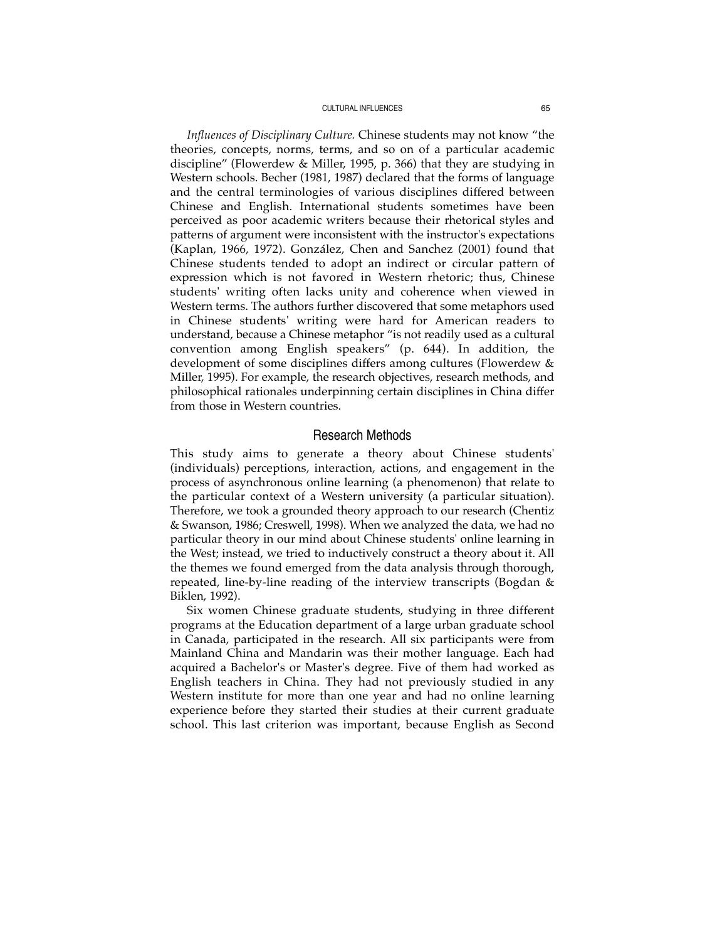*Influences of Disciplinary Culture.* Chinese students may not know "the theories, concepts, norms, terms, and so on of a particular academic discipline" (Flowerdew & Miller, 1995, p. 366) that they are studying in Western schools. Becher (1981, 1987) declared that the forms of language and the central terminologies of various disciplines differed between Chinese and English. International students sometimes have been perceived as poor academic writers because their rhetorical styles and patterns of argument were inconsistent with the instructor's expectations (Kaplan, 1966, 1972). González, Chen and Sanchez (2001) found that Chinese students tended to adopt an indirect or circular pattern of expression which is not favored in Western rhetoric; thus, Chinese students' writing often lacks unity and coherence when viewed in Western terms. The authors further discovered that some metaphors used in Chinese students' writing were hard for American readers to understand, because a Chinese metaphor "is not readily used as a cultural convention among English speakers" (p. 644). In addition, the development of some disciplines differs among cultures (Flowerdew & Miller, 1995). For example, the research objectives, research methods, and philosophical rationales underpinning certain disciplines in China differ from those in Western countries.

# Research Methods

This study aims to generate a theory about Chinese students' (individuals) perceptions, interaction, actions, and engagement in the process of asynchronous online learning (a phenomenon) that relate to the particular context of a Western university (a particular situation). Therefore, we took a grounded theory approach to our research (Chentiz & Swanson, 1986; Creswell, 1998). When we analyzed the data, we had no particular theory in our mind about Chinese students' online learning in the West; instead, we tried to inductively construct a theory about it. All the themes we found emerged from the data analysis through thorough, repeated, line-by-line reading of the interview transcripts (Bogdan & Biklen, 1992).

Six women Chinese graduate students, studying in three different programs at the Education department of a large urban graduate school in Canada, participated in the research. All six participants were from Mainland China and Mandarin was their mother language. Each had acquired a Bachelor's or Master's degree. Five of them had worked as English teachers in China. They had not previously studied in any Western institute for more than one year and had no online learning experience before they started their studies at their current graduate school. This last criterion was important, because English as Second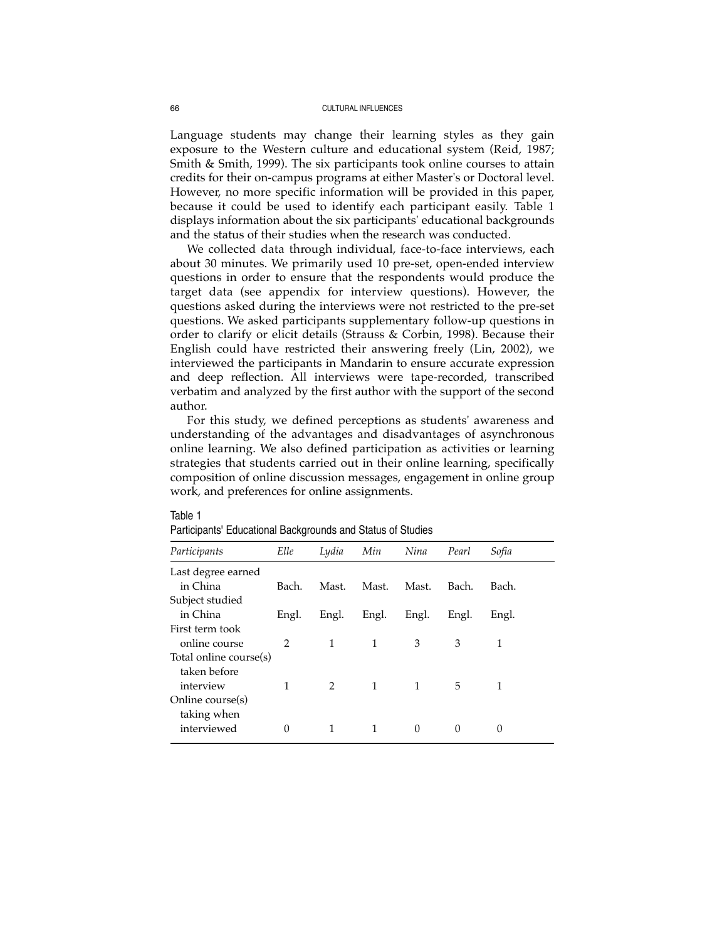Language students may change their learning styles as they gain exposure to the Western culture and educational system (Reid, 1987; Smith & Smith, 1999). The six participants took online courses to attain credits for their on-campus programs at either Master's or Doctoral level. However, no more specific information will be provided in this paper, because it could be used to identify each participant easily. Table 1 displays information about the six participants' educational backgrounds and the status of their studies when the research was conducted.

We collected data through individual, face-to-face interviews, each about 30 minutes. We primarily used 10 pre-set, open-ended interview questions in order to ensure that the respondents would produce the target data (see appendix for interview questions). However, the questions asked during the interviews were not restricted to the pre-set questions. We asked participants supplementary follow-up questions in order to clarify or elicit details (Strauss & Corbin, 1998). Because their English could have restricted their answering freely (Lin, 2002), we interviewed the participants in Mandarin to ensure accurate expression and deep reflection. All interviews were tape-recorded, transcribed verbatim and analyzed by the first author with the support of the second author.

For this study, we defined perceptions as students' awareness and understanding of the advantages and disadvantages of asynchronous online learning. We also defined participation as activities or learning strategies that students carried out in their online learning, specifically composition of online discussion messages, engagement in online group work, and preferences for online assignments.

Participants' Educational Backgrounds and Status of Studies

| Participants           | Elle           | Lydia         | Min   | Nina  | Pearl    | Sofia |
|------------------------|----------------|---------------|-------|-------|----------|-------|
| Last degree earned     |                |               |       |       |          |       |
| in China               | Bach.          | Mast.         | Mast. | Mast. | Bach.    | Bach. |
| Subject studied        |                |               |       |       |          |       |
| in China               | Engl.          | Engl.         | Engl. | Engl. | Engl.    | Engl. |
| First term took        |                |               |       |       |          |       |
| online course          | $\mathfrak{D}$ | 1             | 1     | 3     | 3        | 1     |
| Total online course(s) |                |               |       |       |          |       |
| taken before           |                |               |       |       |          |       |
| interview              | 1              | $\mathcal{P}$ | 1     | 1     | 5        | 1     |
| Online course(s)       |                |               |       |       |          |       |
| taking when            |                |               |       |       |          |       |
| interviewed            | $\Omega$       | 1             | 1     | 0     | $\Omega$ | 0     |
|                        |                |               |       |       |          |       |

# Table 1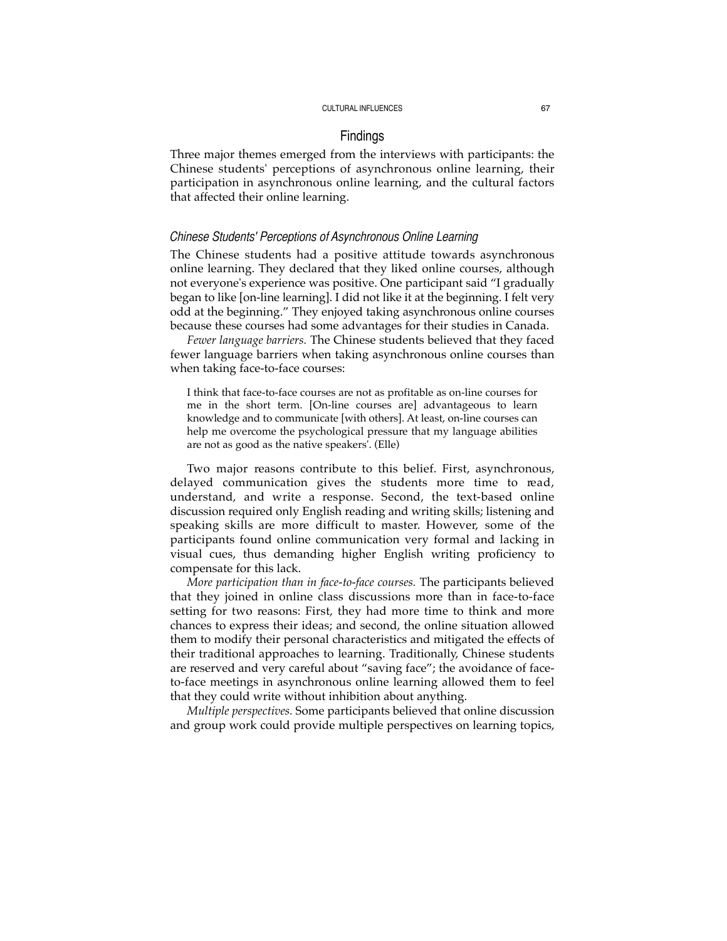# Findings

Three major themes emerged from the interviews with participants: the Chinese students' perceptions of asynchronous online learning, their participation in asynchronous online learning, and the cultural factors that affected their online learning.

## *Chinese Students' Perceptions of Asynchronous Online Learning*

The Chinese students had a positive attitude towards asynchronous online learning. They declared that they liked online courses, although not everyone's experience was positive. One participant said "I gradually began to like [on-line learning]. I did not like it at the beginning. I felt very odd at the beginning." They enjoyed taking asynchronous online courses because these courses had some advantages for their studies in Canada.

*Fewer language barriers.* The Chinese students believed that they faced fewer language barriers when taking asynchronous online courses than when taking face-to-face courses:

I think that face-to-face courses are not as profitable as on-line courses for me in the short term. [On-line courses are] advantageous to learn knowledge and to communicate [with others]. At least, on-line courses can help me overcome the psychological pressure that my language abilities are not as good as the native speakers'. (Elle)

Two major reasons contribute to this belief. First, asynchronous, delayed communication gives the students more time to read, understand, and write a response. Second, the text-based online discussion required only English reading and writing skills; listening and speaking skills are more difficult to master. However, some of the participants found online communication very formal and lacking in visual cues, thus demanding higher English writing proficiency to compensate for this lack.

*More participation than in face-to-face courses.* The participants believed that they joined in online class discussions more than in face-to-face setting for two reasons: First, they had more time to think and more chances to express their ideas; and second, the online situation allowed them to modify their personal characteristics and mitigated the effects of their traditional approaches to learning. Traditionally, Chinese students are reserved and very careful about "saving face"; the avoidance of faceto-face meetings in asynchronous online learning allowed them to feel that they could write without inhibition about anything.

*Multiple perspectives.* Some participants believed that online discussion and group work could provide multiple perspectives on learning topics,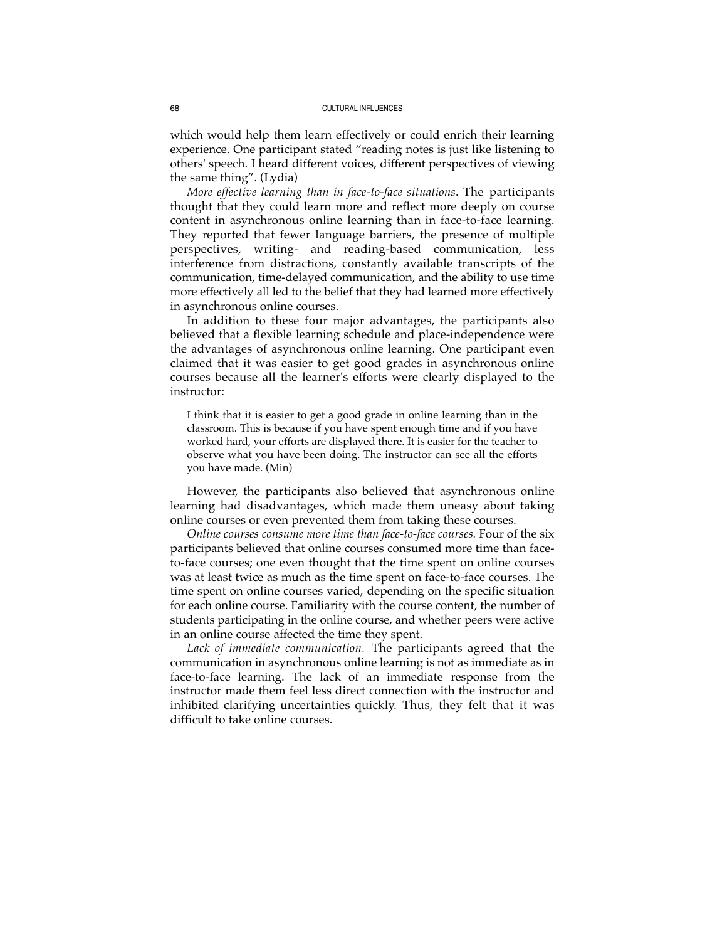which would help them learn effectively or could enrich their learning experience. One participant stated "reading notes is just like listening to others' speech. I heard different voices, different perspectives of viewing the same thing". (Lydia)

*More effective learning than in face-to-face situations.* The participants thought that they could learn more and reflect more deeply on course content in asynchronous online learning than in face-to-face learning. They reported that fewer language barriers, the presence of multiple perspectives, writing- and reading-based communication, less interference from distractions, constantly available transcripts of the communication, time-delayed communication, and the ability to use time more effectively all led to the belief that they had learned more effectively in asynchronous online courses.

In addition to these four major advantages, the participants also believed that a flexible learning schedule and place-independence were the advantages of asynchronous online learning. One participant even claimed that it was easier to get good grades in asynchronous online courses because all the learner's efforts were clearly displayed to the instructor:

I think that it is easier to get a good grade in online learning than in the classroom. This is because if you have spent enough time and if you have worked hard, your efforts are displayed there. It is easier for the teacher to observe what you have been doing. The instructor can see all the efforts you have made. (Min)

However, the participants also believed that asynchronous online learning had disadvantages, which made them uneasy about taking online courses or even prevented them from taking these courses.

*Online courses consume more time than face-to-face courses.* Four of the six participants believed that online courses consumed more time than faceto-face courses; one even thought that the time spent on online courses was at least twice as much as the time spent on face-to-face courses. The time spent on online courses varied, depending on the specific situation for each online course. Familiarity with the course content, the number of students participating in the online course, and whether peers were active in an online course affected the time they spent.

*Lack of immediate communication.* The participants agreed that the communication in asynchronous online learning is not as immediate as in face-to-face learning. The lack of an immediate response from the instructor made them feel less direct connection with the instructor and inhibited clarifying uncertainties quickly. Thus, they felt that it was difficult to take online courses.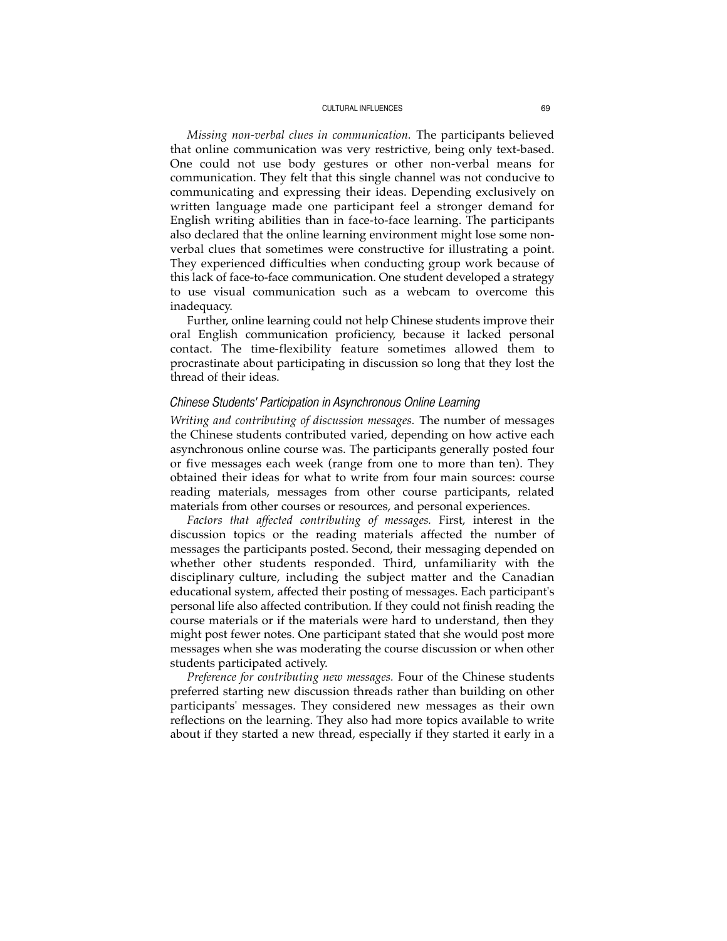*Missing non-verbal clues in communication.* The participants believed that online communication was very restrictive, being only text-based. One could not use body gestures or other non-verbal means for communication. They felt that this single channel was not conducive to communicating and expressing their ideas. Depending exclusively on written language made one participant feel a stronger demand for English writing abilities than in face-to-face learning. The participants also declared that the online learning environment might lose some nonverbal clues that sometimes were constructive for illustrating a point. They experienced difficulties when conducting group work because of this lack of face-to-face communication. One student developed a strategy to use visual communication such as a webcam to overcome this inadequacy.

Further, online learning could not help Chinese students improve their oral English communication proficiency, because it lacked personal contact. The time-flexibility feature sometimes allowed them to procrastinate about participating in discussion so long that they lost the thread of their ideas.

# *Chinese Students' Participation in Asynchronous Online Learning*

*Writing and contributing of discussion messages.* The number of messages the Chinese students contributed varied, depending on how active each asynchronous online course was. The participants generally posted four or five messages each week (range from one to more than ten). They obtained their ideas for what to write from four main sources: course reading materials, messages from other course participants, related materials from other courses or resources, and personal experiences.

*Factors that affected contributing of messages.* First, interest in the discussion topics or the reading materials affected the number of messages the participants posted. Second, their messaging depended on whether other students responded. Third, unfamiliarity with the disciplinary culture, including the subject matter and the Canadian educational system, affected their posting of messages. Each participant's personal life also affected contribution. If they could not finish reading the course materials or if the materials were hard to understand, then they might post fewer notes. One participant stated that she would post more messages when she was moderating the course discussion or when other students participated actively.

*Preference for contributing new messages.* Four of the Chinese students preferred starting new discussion threads rather than building on other participants' messages. They considered new messages as their own reflections on the learning. They also had more topics available to write about if they started a new thread, especially if they started it early in a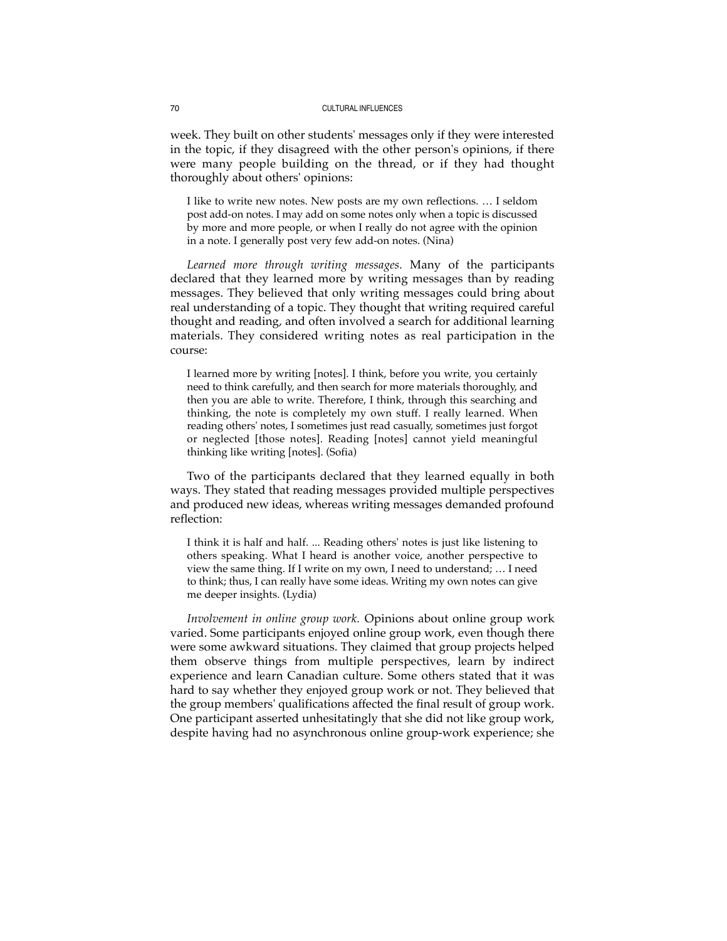week. They built on other students' messages only if they were interested in the topic, if they disagreed with the other person's opinions, if there were many people building on the thread, or if they had thought thoroughly about others' opinions:

I like to write new notes. New posts are my own reflections. … I seldom post add-on notes. I may add on some notes only when a topic is discussed by more and more people, or when I really do not agree with the opinion in a note. I generally post very few add-on notes. (Nina)

*Learned more through writing messages.* Many of the participants declared that they learned more by writing messages than by reading messages. They believed that only writing messages could bring about real understanding of a topic. They thought that writing required careful thought and reading, and often involved a search for additional learning materials. They considered writing notes as real participation in the course:

I learned more by writing [notes]. I think, before you write, you certainly need to think carefully, and then search for more materials thoroughly, and then you are able to write. Therefore, I think, through this searching and thinking, the note is completely my own stuff. I really learned. When reading others' notes, I sometimes just read casually, sometimes just forgot or neglected [those notes]. Reading [notes] cannot yield meaningful thinking like writing [notes]. (Sofia)

Two of the participants declared that they learned equally in both ways. They stated that reading messages provided multiple perspectives and produced new ideas, whereas writing messages demanded profound reflection:

I think it is half and half. ... Reading others' notes is just like listening to others speaking. What I heard is another voice, another perspective to view the same thing. If I write on my own, I need to understand; … I need to think; thus, I can really have some ideas. Writing my own notes can give me deeper insights. (Lydia)

*Involvement in online group work.* Opinions about online group work varied. Some participants enjoyed online group work, even though there were some awkward situations. They claimed that group projects helped them observe things from multiple perspectives, learn by indirect experience and learn Canadian culture. Some others stated that it was hard to say whether they enjoyed group work or not. They believed that the group members' qualifications affected the final result of group work. One participant asserted unhesitatingly that she did not like group work, despite having had no asynchronous online group-work experience; she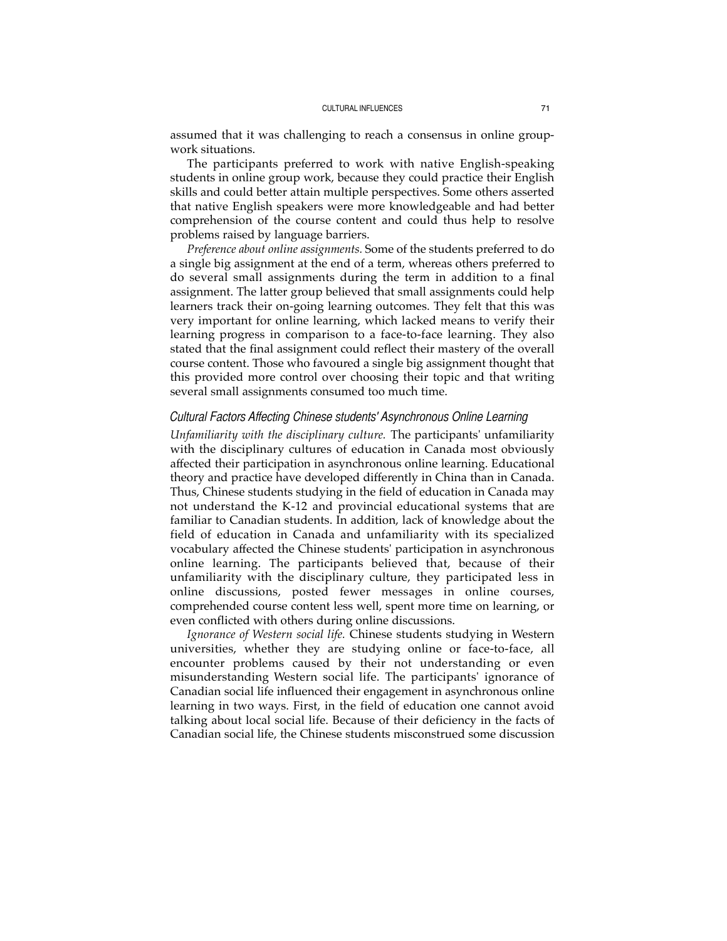assumed that it was challenging to reach a consensus in online groupwork situations.

The participants preferred to work with native English-speaking students in online group work, because they could practice their English skills and could better attain multiple perspectives. Some others asserted that native English speakers were more knowledgeable and had better comprehension of the course content and could thus help to resolve problems raised by language barriers.

*Preference about online assignments.* Some of the students preferred to do a single big assignment at the end of a term, whereas others preferred to do several small assignments during the term in addition to a final assignment. The latter group believed that small assignments could help learners track their on-going learning outcomes. They felt that this was very important for online learning, which lacked means to verify their learning progress in comparison to a face-to-face learning. They also stated that the final assignment could reflect their mastery of the overall course content. Those who favoured a single big assignment thought that this provided more control over choosing their topic and that writing several small assignments consumed too much time.

# *Cultural Factors Affecting Chinese students' Asynchronous Online Learning*

*Unfamiliarity with the disciplinary culture.* The participants' unfamiliarity with the disciplinary cultures of education in Canada most obviously affected their participation in asynchronous online learning. Educational theory and practice have developed differently in China than in Canada. Thus, Chinese students studying in the field of education in Canada may not understand the K-12 and provincial educational systems that are familiar to Canadian students. In addition, lack of knowledge about the field of education in Canada and unfamiliarity with its specialized vocabulary affected the Chinese students' participation in asynchronous online learning. The participants believed that, because of their unfamiliarity with the disciplinary culture, they participated less in online discussions, posted fewer messages in online courses, comprehended course content less well, spent more time on learning, or even conflicted with others during online discussions.

*Ignorance of Western social life.* Chinese students studying in Western universities, whether they are studying online or face-to-face, all encounter problems caused by their not understanding or even misunderstanding Western social life. The participants' ignorance of Canadian social life influenced their engagement in asynchronous online learning in two ways. First, in the field of education one cannot avoid talking about local social life. Because of their deficiency in the facts of Canadian social life, the Chinese students misconstrued some discussion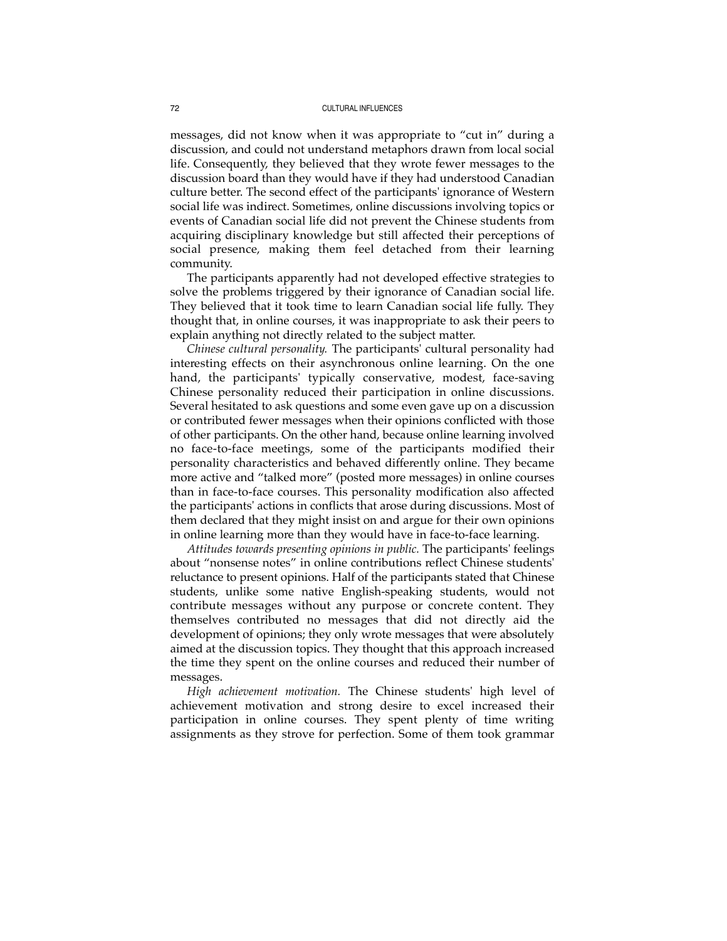messages, did not know when it was appropriate to "cut in" during a discussion, and could not understand metaphors drawn from local social life. Consequently, they believed that they wrote fewer messages to the discussion board than they would have if they had understood Canadian culture better. The second effect of the participants' ignorance of Western social life was indirect. Sometimes, online discussions involving topics or events of Canadian social life did not prevent the Chinese students from acquiring disciplinary knowledge but still affected their perceptions of social presence, making them feel detached from their learning community.

The participants apparently had not developed effective strategies to solve the problems triggered by their ignorance of Canadian social life. They believed that it took time to learn Canadian social life fully. They thought that, in online courses, it was inappropriate to ask their peers to explain anything not directly related to the subject matter.

*Chinese cultural personality.* The participants' cultural personality had interesting effects on their asynchronous online learning. On the one hand, the participants' typically conservative, modest, face-saving Chinese personality reduced their participation in online discussions. Several hesitated to ask questions and some even gave up on a discussion or contributed fewer messages when their opinions conflicted with those of other participants. On the other hand, because online learning involved no face-to-face meetings, some of the participants modified their personality characteristics and behaved differently online. They became more active and "talked more" (posted more messages) in online courses than in face-to-face courses. This personality modification also affected the participants' actions in conflicts that arose during discussions. Most of them declared that they might insist on and argue for their own opinions in online learning more than they would have in face-to-face learning.

*Attitudes towards presenting opinions in public.* The participants' feelings about "nonsense notes" in online contributions reflect Chinese students' reluctance to present opinions. Half of the participants stated that Chinese students, unlike some native English-speaking students, would not contribute messages without any purpose or concrete content. They themselves contributed no messages that did not directly aid the development of opinions; they only wrote messages that were absolutely aimed at the discussion topics. They thought that this approach increased the time they spent on the online courses and reduced their number of messages.

*High achievement motivation.* The Chinese students' high level of achievement motivation and strong desire to excel increased their participation in online courses. They spent plenty of time writing assignments as they strove for perfection. Some of them took grammar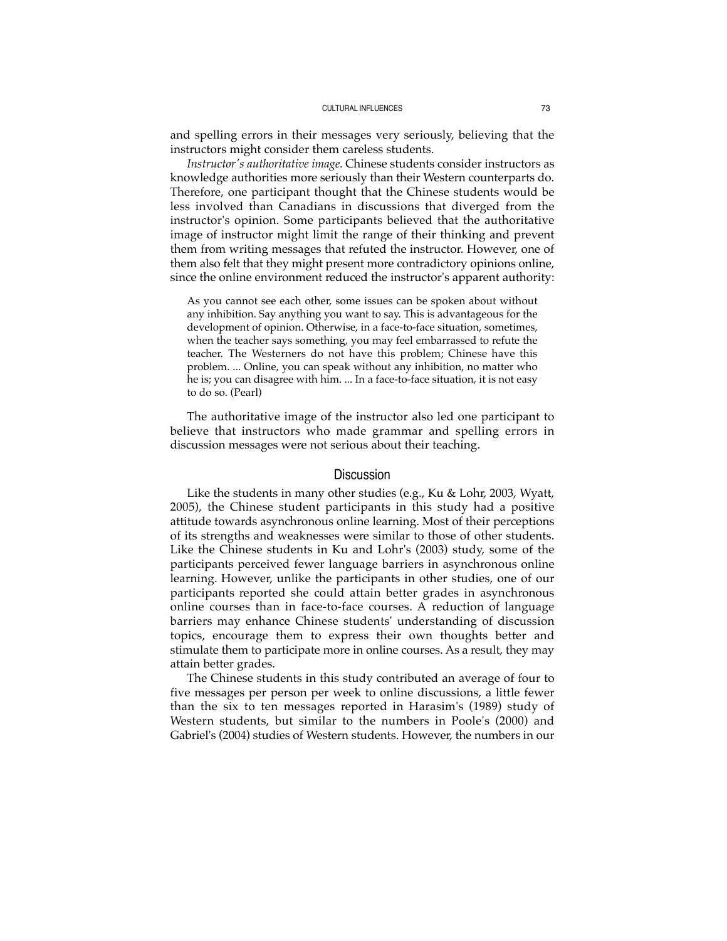and spelling errors in their messages very seriously, believing that the instructors might consider them careless students.

*Instructor's authoritative image.* Chinese students consider instructors as knowledge authorities more seriously than their Western counterparts do. Therefore, one participant thought that the Chinese students would be less involved than Canadians in discussions that diverged from the instructor's opinion. Some participants believed that the authoritative image of instructor might limit the range of their thinking and prevent them from writing messages that refuted the instructor. However, one of them also felt that they might present more contradictory opinions online, since the online environment reduced the instructor's apparent authority:

As you cannot see each other, some issues can be spoken about without any inhibition. Say anything you want to say. This is advantageous for the development of opinion. Otherwise, in a face-to-face situation, sometimes, when the teacher says something, you may feel embarrassed to refute the teacher. The Westerners do not have this problem; Chinese have this problem. ... Online, you can speak without any inhibition, no matter who he is; you can disagree with him. ... In a face-to-face situation, it is not easy to do so. (Pearl)

The authoritative image of the instructor also led one participant to believe that instructors who made grammar and spelling errors in discussion messages were not serious about their teaching.

# **Discussion**

Like the students in many other studies (e.g., Ku & Lohr, 2003, Wyatt, 2005), the Chinese student participants in this study had a positive attitude towards asynchronous online learning. Most of their perceptions of its strengths and weaknesses were similar to those of other students. Like the Chinese students in Ku and Lohr's (2003) study, some of the participants perceived fewer language barriers in asynchronous online learning. However, unlike the participants in other studies, one of our participants reported she could attain better grades in asynchronous online courses than in face-to-face courses. A reduction of language barriers may enhance Chinese students' understanding of discussion topics, encourage them to express their own thoughts better and stimulate them to participate more in online courses. As a result, they may attain better grades.

The Chinese students in this study contributed an average of four to five messages per person per week to online discussions, a little fewer than the six to ten messages reported in Harasim's (1989) study of Western students, but similar to the numbers in Poole's (2000) and Gabriel's (2004) studies of Western students. However, the numbers in our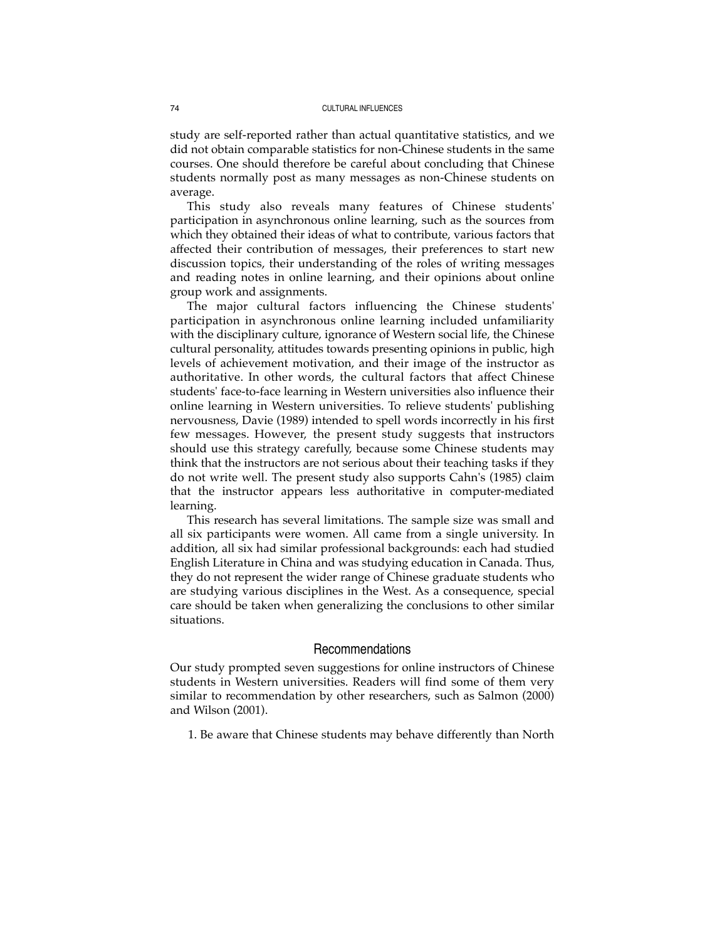study are self-reported rather than actual quantitative statistics, and we did not obtain comparable statistics for non-Chinese students in the same courses. One should therefore be careful about concluding that Chinese students normally post as many messages as non-Chinese students on average.

This study also reveals many features of Chinese students' participation in asynchronous online learning, such as the sources from which they obtained their ideas of what to contribute, various factors that affected their contribution of messages, their preferences to start new discussion topics, their understanding of the roles of writing messages and reading notes in online learning, and their opinions about online group work and assignments.

The major cultural factors influencing the Chinese students' participation in asynchronous online learning included unfamiliarity with the disciplinary culture, ignorance of Western social life, the Chinese cultural personality, attitudes towards presenting opinions in public, high levels of achievement motivation, and their image of the instructor as authoritative. In other words, the cultural factors that affect Chinese students' face-to-face learning in Western universities also influence their online learning in Western universities. To relieve students' publishing nervousness, Davie (1989) intended to spell words incorrectly in his first few messages. However, the present study suggests that instructors should use this strategy carefully, because some Chinese students may think that the instructors are not serious about their teaching tasks if they do not write well. The present study also supports Cahn's (1985) claim that the instructor appears less authoritative in computer-mediated learning.

This research has several limitations. The sample size was small and all six participants were women. All came from a single university. In addition, all six had similar professional backgrounds: each had studied English Literature in China and was studying education in Canada. Thus, they do not represent the wider range of Chinese graduate students who are studying various disciplines in the West. As a consequence, special care should be taken when generalizing the conclusions to other similar situations.

# Recommendations

Our study prompted seven suggestions for online instructors of Chinese students in Western universities. Readers will find some of them very similar to recommendation by other researchers, such as Salmon (2000) and Wilson (2001).

1. Be aware that Chinese students may behave differently than North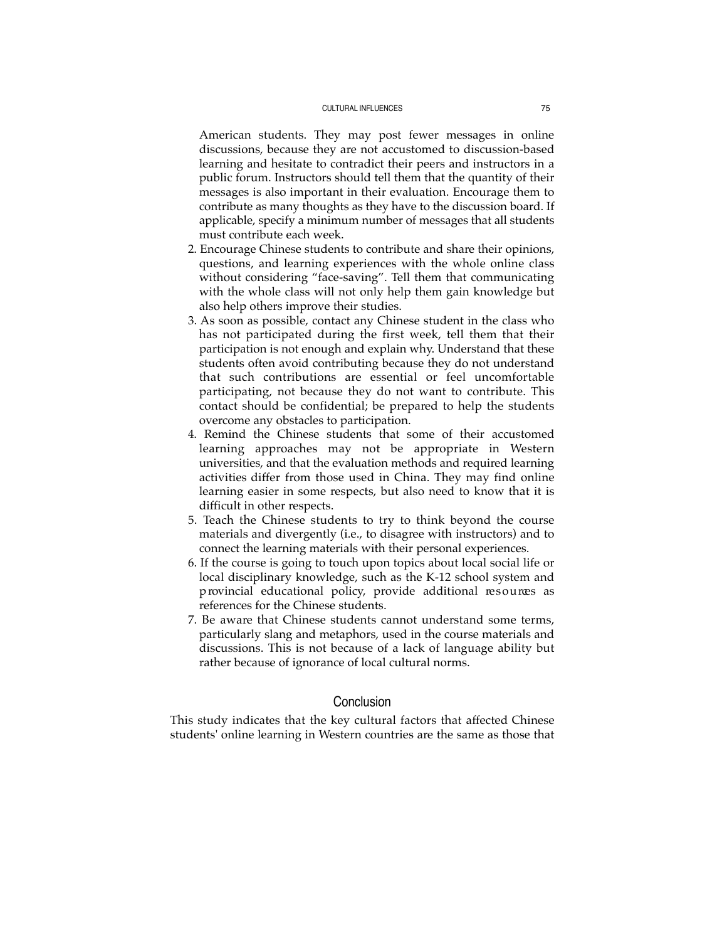American students. They may post fewer messages in online discussions, because they are not accustomed to discussion-based learning and hesitate to contradict their peers and instructors in a public forum. Instructors should tell them that the quantity of their messages is also important in their evaluation. Encourage them to contribute as many thoughts as they have to the discussion board. If applicable, specify a minimum number of messages that all students must contribute each week.

- 2. Encourage Chinese students to contribute and share their opinions, questions, and learning experiences with the whole online class without considering "face-saving". Tell them that communicating with the whole class will not only help them gain knowledge but also help others improve their studies.
- 3. As soon as possible, contact any Chinese student in the class who has not participated during the first week, tell them that their participation is not enough and explain why. Understand that these students often avoid contributing because they do not understand that such contributions are essential or feel uncomfortable participating, not because they do not want to contribute. This contact should be confidential; be prepared to help the students overcome any obstacles to participation.
- 4. Remind the Chinese students that some of their accustomed learning approaches may not be appropriate in Western universities, and that the evaluation methods and required learning activities differ from those used in China. They may find online learning easier in some respects, but also need to know that it is difficult in other respects.
- 5. Teach the Chinese students to try to think beyond the course materials and divergently (i.e., to disagree with instructors) and to connect the learning materials with their personal experiences.
- 6. If the course is going to touch upon topics about local social life or local disciplinary knowledge, such as the K-12 school system and p rovincial educational policy, provide additional resources as references for the Chinese students.
- 7. Be aware that Chinese students cannot understand some terms, particularly slang and metaphors, used in the course materials and discussions. This is not because of a lack of language ability but rather because of ignorance of local cultural norms.

# Conclusion

This study indicates that the key cultural factors that affected Chinese students' online learning in Western countries are the same as those that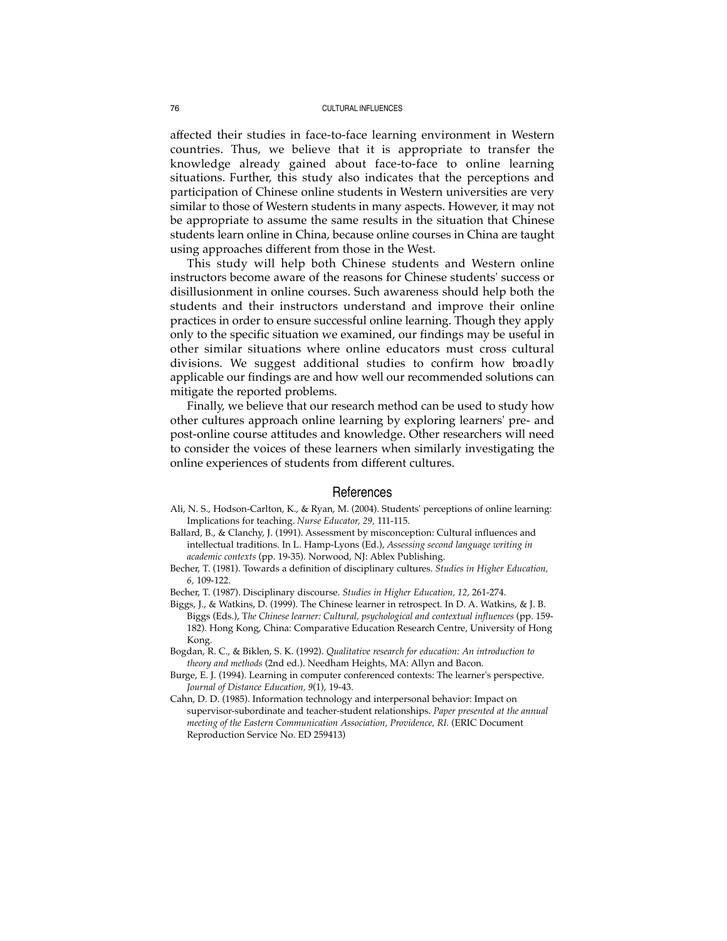affected their studies in face-to-face learning environment in Western countries. Thus, we believe that it is appropriate to transfer the knowledge already gained about face-to-face to online learning situations. Further, this study also indicates that the perceptions and participation of Chinese online students in Western universities are very similar to those of Western students in many aspects. However, it may not be appropriate to assume the same results in the situation that Chinese students learn online in China, because online courses in China are taught using approaches different from those in the West.

This study will help both Chinese students and Western online instructors become aware of the reasons for Chinese students' success or disillusionment in online courses. Such awareness should help both the students and their instructors understand and improve their online practices in order to ensure successful online learning. Though they apply only to the specific situation we examined, our findings may be useful in other similar situations where online educators must cross cultural divisions. We suggest additional studies to confirm how broadly applicable our findings are and how well our recommended solutions can mitigate the reported problems.

Finally, we believe that our research method can be used to study how other cultures approach online learning by exploring learners' pre- and post-online course attitudes and knowledge. Other researchers will need to consider the voices of these learners when similarly investigating the online experiences of students from different cultures.

#### References

- Ali, N. S., Hodson-Carlton, K., & Ryan, M. (2004). Students' perceptions of online learning: Implications for teaching. *Nurse Educator, 29,* 111-115.
- Ballard, B., & Clanchy, J. (1991). Assessment by misconception: Cultural influences and intellectual traditions. In L. Hamp-Lyons (Ed.), *Assessing second language writing in academic contexts* (pp. 19-35). Norwood, NJ: Ablex Publishing.
- Becher, T. (1981). Towards a definition of disciplinary cultures. *Studies in Higher Education, 6,* 109-122.
- Becher, T. (1987). Disciplinary discourse. *Studies in Higher Education, 12,* 261-274.
- Biggs, J., & Watkins, D. (1999). The Chinese learner in retrospect. In D. A. Watkins, & J. B. Biggs (Eds.), T*he Chinese learner: Cultural, psychological and contextual influences* (pp. 159- 182). Hong Kong, China: Comparative Education Research Centre, University of Hong Kong.
- Bogdan, R. C., & Biklen, S. K. (1992). *Qualitative research for education: An introduction to theory and methods* (2nd ed.). Needham Heights, MA: Allyn and Bacon.
- Burge, E. J. (1994). Learning in computer conferenced contexts: The learner's perspective. *Journal of Distance Education, 9*(1), 19-43.
- Cahn, D. D. (1985). Information technology and interpersonal behavior: Impact on supervisor-subordinate and teacher-student relationships. *Paper presented at the annual meeting of the Eastern Communication Association, Providence, RI.* (ERIC Document Reproduction Service No. ED 259413)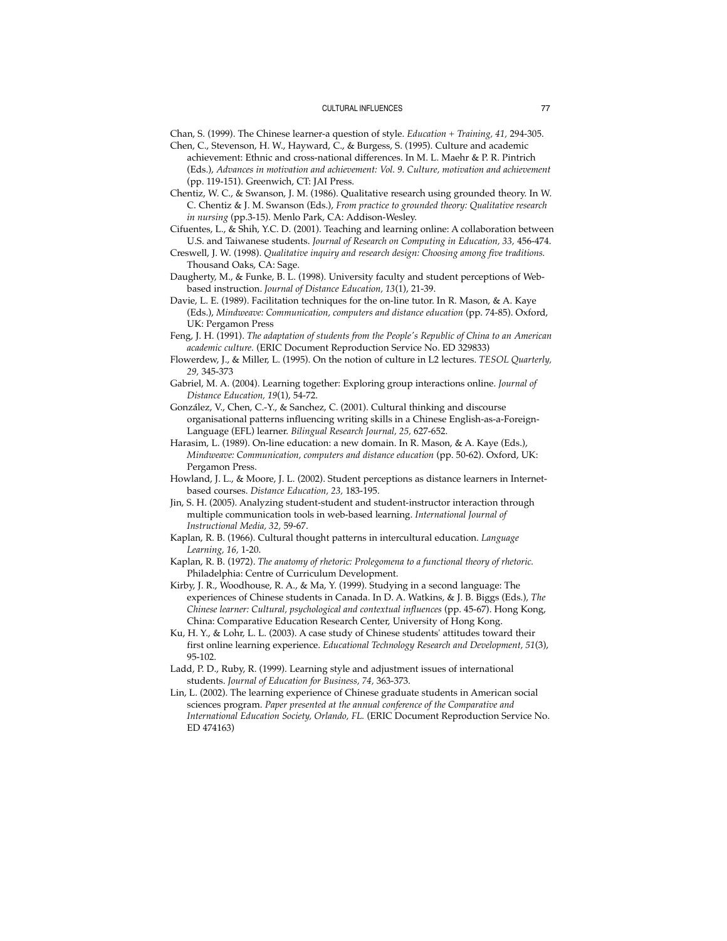Chan, S. (1999). The Chinese learner-a question of style. *Education + Training, 41,* 294-305.

- Chen, C., Stevenson, H. W., Hayward, C., & Burgess, S. (1995). Culture and academic achievement: Ethnic and cross-national differences. In M. L. Maehr & P. R. Pintrich (Eds.), *Advances in motivation and achievement: Vol. 9. Culture, motivation and achievement* (pp. 119-151). Greenwich, CT: JAI Press.
- Chentiz, W. C., & Swanson, J. M. (1986). Qualitative research using grounded theory. In W. C. Chentiz & J. M. Swanson (Eds.), *From practice to grounded theory: Qualitative research in nursing* (pp.3-15). Menlo Park, CA: Addison-Wesley.
- Cifuentes, L., & Shih, Y.C. D. (2001). Teaching and learning online: A collaboration between U.S. and Taiwanese students. *Journal of Research on Computing in Education, 33,* 456-474.
- Creswell, J. W. (1998). *Qualitative inquiry and research design: Choosing among five traditions.* Thousand Oaks, CA: Sage.
- Daugherty, M., & Funke, B. L. (1998). University faculty and student perceptions of Webbased instruction. *Journal of Distance Education, 13*(1), 21-39.
- Davie, L. E. (1989). Facilitation techniques for the on-line tutor. In R. Mason, & A. Kaye (Eds.), *Mindweave: Communication, computers and distance education* (pp. 74-85). Oxford, UK: Pergamon Press
- Feng, J. H. (1991). *The adaptation of students from the People's Republic of China to an American academic culture.* (ERIC Document Reproduction Service No. ED 329833)
- Flowerdew, J., & Miller, L. (1995). On the notion of culture in L2 lectures. *TESOL Quarterly, 29,* 345-373
- Gabriel, M. A. (2004). Learning together: Exploring group interactions online. *Journal of Distance Education, 19*(1), 54-72.
- González, V., Chen, C.-Y., & Sanchez, C. (2001). Cultural thinking and discourse organisational patterns influencing writing skills in a Chinese English-as-a-Foreign-Language (EFL) learner. *Bilingual Research Journal, 25,* 627-652.
- Harasim, L. (1989). On-line education: a new domain. In R. Mason, & A. Kaye (Eds.), *Mindweave: Communication, computers and distance education* (pp. 50-62). Oxford, UK: Pergamon Press.
- Howland, J. L., & Moore, J. L. (2002). Student perceptions as distance learners in Internetbased courses. *Distance Education, 23,* 183-195.
- Jin, S. H. (2005). Analyzing student-student and student-instructor interaction through multiple communication tools in web-based learning. *International Journal of Instructional Media, 32,* 59-67.
- Kaplan, R. B. (1966). Cultural thought patterns in intercultural education. *Language Learning, 16,* 1-20.
- Kaplan, R. B. (1972). *The anatomy of rhetoric: Prolegomena to a functional theory of rhetoric.* Philadelphia: Centre of Curriculum Development.
- Kirby, J. R., Woodhouse, R. A., & Ma, Y. (1999). Studying in a second language: The experiences of Chinese students in Canada. In D. A. Watkins, & J. B. Biggs (Eds.), *The Chinese learner: Cultural, psychological and contextual influences* (pp. 45-67). Hong Kong, China: Comparative Education Research Center, University of Hong Kong.
- Ku, H. Y., & Lohr, L. L. (2003). A case study of Chinese students' attitudes toward their first online learning experience. *Educational Technology Research and Development, 51*(3), 95-102.
- Ladd, P. D., Ruby, R. (1999). Learning style and adjustment issues of international students. *Journal of Education for Business, 74,* 363-373.
- Lin, L. (2002). The learning experience of Chinese graduate students in American social sciences program. *Paper presented at the annual conference of the Comparative and International Education Society, Orlando, FL.* (ERIC Document Reproduction Service No. ED 474163)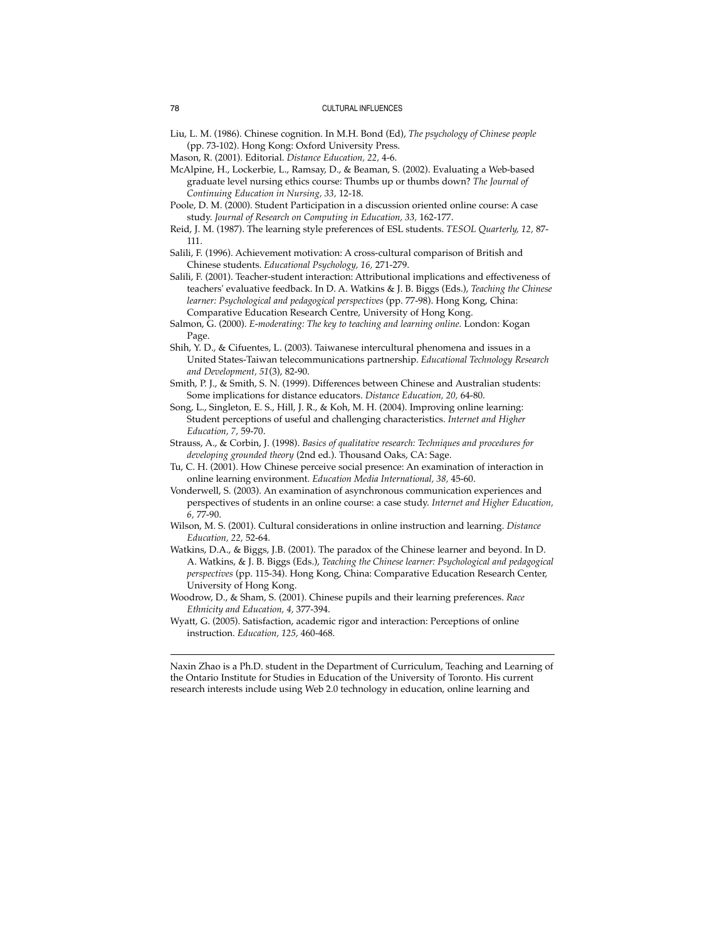Liu, L. M. (1986). Chinese cognition. In M.H. Bond (Ed), *The psychology of Chinese people* (pp. 73-102). Hong Kong: Oxford University Press.

- McAlpine, H., Lockerbie, L., Ramsay, D., & Beaman, S. (2002). Evaluating a Web-based graduate level nursing ethics course: Thumbs up or thumbs down? *The Journal of Continuing Education in Nursing, 33,* 12-18.
- Poole, D. M. (2000). Student Participation in a discussion oriented online course: A case study. *Journal of Research on Computing in Education, 33,* 162-177.
- Reid, J. M. (1987). The learning style preferences of ESL students. *TESOL Quarterly, 12,* 87- 111.

Salili, F. (1996). Achievement motivation: A cross-cultural comparison of British and Chinese students. *Educational Psychology, 16,* 271-279.

- Salili, F. (2001). Teacher-student interaction: Attributional implications and effectiveness of teachers' evaluative feedback. In D. A. Watkins & J. B. Biggs (Eds.), *Teaching the Chinese learner: Psychological and pedagogical perspectives* (pp. 77-98). Hong Kong, China: Comparative Education Research Centre, University of Hong Kong.
- Salmon, G. (2000). *E-moderating: The key to teaching and learning online.* London: Kogan Page.
- Shih, Y. D., & Cifuentes, L. (2003). Taiwanese intercultural phenomena and issues in a United States-Taiwan telecommunications partnership. *Educational Technology Research and Development, 51*(3), 82-90.
- Smith, P. J., & Smith, S. N. (1999). Differences between Chinese and Australian students: Some implications for distance educators. *Distance Education, 20,* 64-80.
- Song, L., Singleton, E. S., Hill, J. R., & Koh, M. H. (2004). Improving online learning: Student perceptions of useful and challenging characteristics. *Internet and Higher Education, 7,* 59-70.
- Strauss, A., & Corbin, J. (1998). *Basics of qualitative research: Techniques and procedures for developing grounded theory* (2nd ed.). Thousand Oaks, CA: Sage.
- Tu, C. H. (2001). How Chinese perceive social presence: An examination of interaction in online learning environment. *Education Media International, 38,* 45-60.
- Vonderwell, S. (2003). An examination of asynchronous communication experiences and perspectives of students in an online course: a case study. *Internet and Higher Education, 6,* 77-90.
- Wilson, M. S. (2001). Cultural considerations in online instruction and learning. *Distance Education, 22,* 52-64.
- Watkins, D.A., & Biggs, J.B. (2001). The paradox of the Chinese learner and beyond. In D. A. Watkins, & J. B. Biggs (Eds.), *Teaching the Chinese learner: Psychological and pedagogical perspectives* (pp. 115-34). Hong Kong, China: Comparative Education Research Center, University of Hong Kong.
- Woodrow, D., & Sham, S. (2001). Chinese pupils and their learning preferences. *Race Ethnicity and Education, 4,* 377-394.
- Wyatt, G. (2005). Satisfaction, academic rigor and interaction: Perceptions of online instruction. *Education, 125,* 460-468.

Naxin Zhao is a Ph.D. student in the Department of Curriculum, Teaching and Learning of the Ontario Institute for Studies in Education of the University of Toronto. His current research interests include using Web 2.0 technology in education, online learning and

Mason, R. (2001). Editorial. *Distance Education, 22,* 4-6.